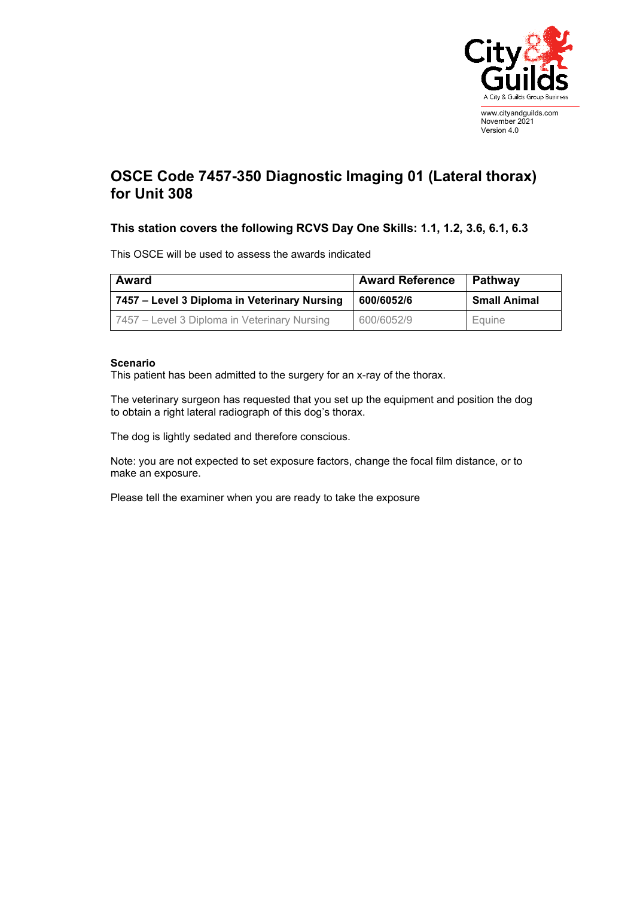

## **OSCE Code 7457-350 Diagnostic Imaging 01 (Lateral thorax) for Unit 308**

## **This station covers the following RCVS Day One Skills: 1.1, 1.2, 3.6, 6.1, 6.3**

This OSCE will be used to assess the awards indicated

| Award                                        | <b>Award Reference</b> | Pathway             |
|----------------------------------------------|------------------------|---------------------|
| 7457 – Level 3 Diploma in Veterinary Nursing | 600/6052/6             | <b>Small Animal</b> |
| 7457 – Level 3 Diploma in Veterinary Nursing | 600/6052/9             | Equine              |

## **Scenario**

This patient has been admitted to the surgery for an x-ray of the thorax.

The veterinary surgeon has requested that you set up the equipment and position the dog to obtain a right lateral radiograph of this dog's thorax.

The dog is lightly sedated and therefore conscious.

Note: you are not expected to set exposure factors, change the focal film distance, or to make an exposure.

Please tell the examiner when you are ready to take the exposure